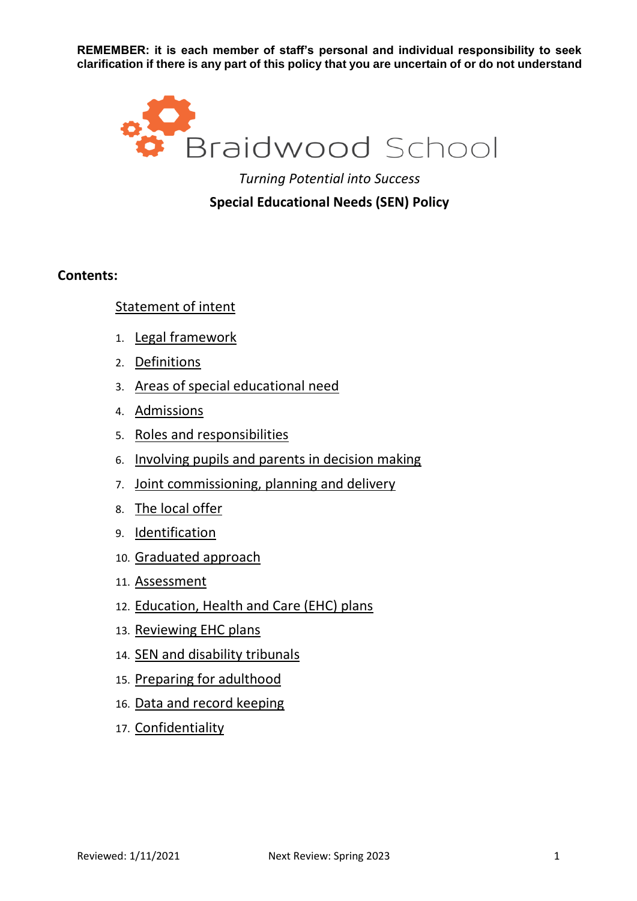

# **Special Educational Needs (SEN) Policy**

### **Contents:**

### Statement of intent

- 1. Legal framework
- 2. Definitions
- 3. Areas of special educational need
- 4. Admissions
- 5. Roles and responsibilities
- 6. Involving pupils and parents in decision making
- 7. Joint commissioning, planning and delivery
- 8. The local offer
- 9. Identification
- 10. Graduated approach
- 11. Assessment
- 12. Education, Health and Care (EHC) plans
- 13. Reviewing EHC plans
- 14. SEN and disability tribunals
- 15. Preparing for adulthood
- 16. Data and record keeping
- 17. Confidentiality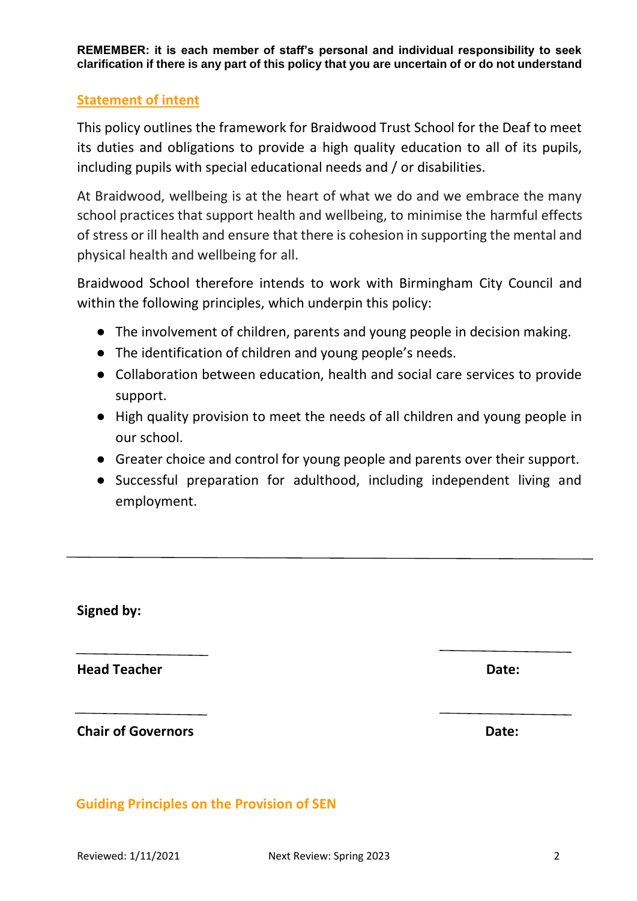### **Statement of intent**

This policy outlines the framework for Braidwood Trust School for the Deaf to meet its duties and obligations to provide a high quality education to all of its pupils, including pupils with special educational needs and / or disabilities.

At Braidwood, wellbeing is at the heart of what we do and we embrace the many school practices that support health and wellbeing, to minimise the harmful effects of stress or ill health and ensure that there is cohesion in supporting the mental and physical health and wellbeing for all.

Braidwood School therefore intends to work with Birmingham City Council and within the following principles, which underpin this policy:

- The involvement of children, parents and young people in decision making.
- The identification of children and young people's needs.
- Collaboration between education, health and social care services to provide support.
- High quality provision to meet the needs of all children and young people in our school.
- Greater choice and control for young people and parents over their support.
- Successful preparation for adulthood, including independent living and employment.

**Signed by:**

**Head Teacher Date: Date: Date: Date: Date: Date: Date: Date: Date: Date: Date: Date: Date: Date: Date: Date: Date: Date: Date: Date: Date: Date: Date: Date: Date: Date:**

**Chair of Governors Chair Chair Chair Chair Chair Chair Chair Chair Chair Chair Chair Chair Chair Chair Chair Chair Chair Chair Chair Chair Chair Chair Chair Chair Chair Chair Chair Chair Chair Chair Chair Chair Chair Chai** 

## **Guiding Principles on the Provision of SEN**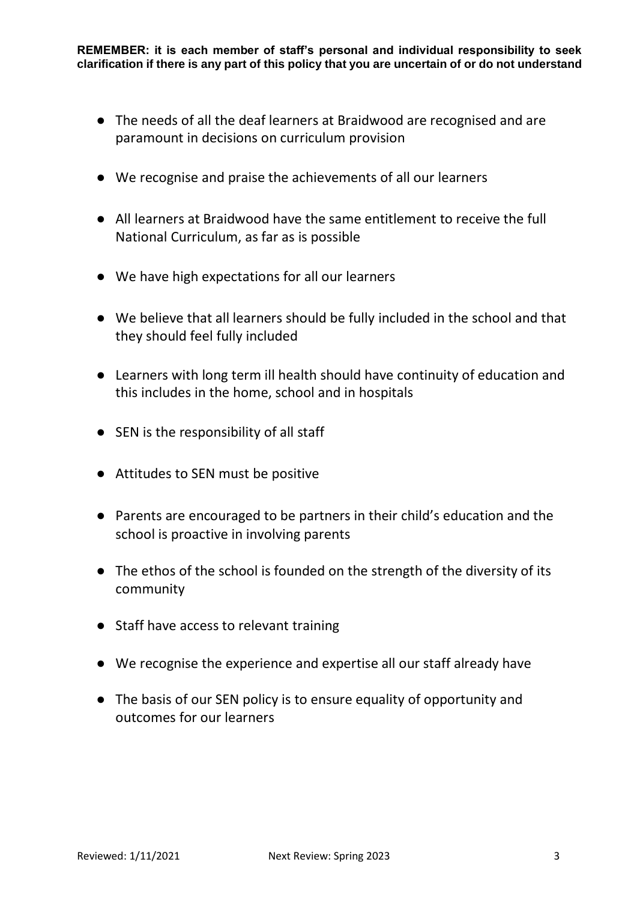- The needs of all the deaf learners at Braidwood are recognised and are paramount in decisions on curriculum provision
- We recognise and praise the achievements of all our learners
- All learners at Braidwood have the same entitlement to receive the full National Curriculum, as far as is possible
- We have high expectations for all our learners
- We believe that all learners should be fully included in the school and that they should feel fully included
- Learners with long term ill health should have continuity of education and this includes in the home, school and in hospitals
- SEN is the responsibility of all staff
- Attitudes to SEN must be positive
- Parents are encouraged to be partners in their child's education and the school is proactive in involving parents
- The ethos of the school is founded on the strength of the diversity of its community
- Staff have access to relevant training
- We recognise the experience and expertise all our staff already have
- The basis of our SEN policy is to ensure equality of opportunity and outcomes for our learners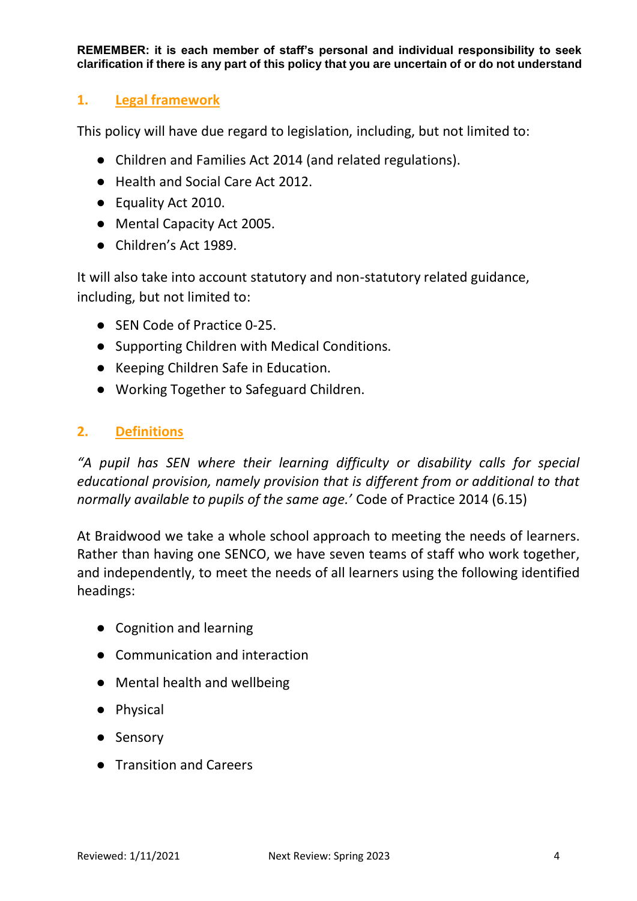# **1. Legal framework**

This policy will have due regard to legislation, including, but not limited to:

- Children and Families Act 2014 (and related regulations).
- Health and Social Care Act 2012.
- Equality Act 2010.
- Mental Capacity Act 2005.
- Children's Act 1989.

It will also take into account statutory and non-statutory related guidance, including, but not limited to:

- SEN Code of Practice 0-25.
- Supporting Children with Medical Conditions.
- Keeping Children Safe in Education.
- Working Together to Safeguard Children.

## **2. Definitions**

*"A pupil has SEN where their learning difficulty or disability calls for special educational provision, namely provision that is different from or additional to that normally available to pupils of the same age.'* Code of Practice 2014 (6.15)

At Braidwood we take a whole school approach to meeting the needs of learners. Rather than having one SENCO, we have seven teams of staff who work together, and independently, to meet the needs of all learners using the following identified headings:

- Cognition and learning
- Communication and interaction
- Mental health and wellbeing
- Physical
- Sensory
- Transition and Careers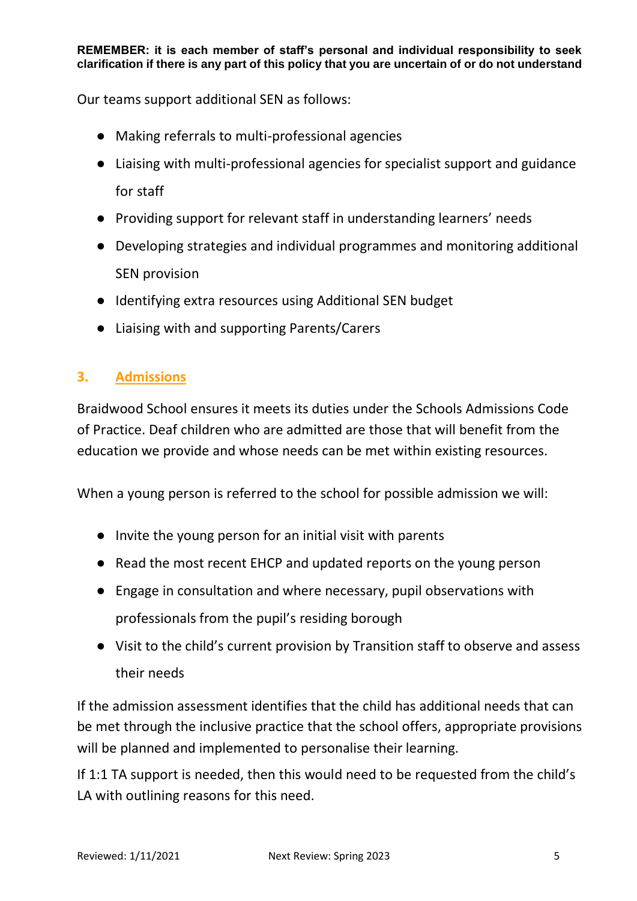Our teams support additional SEN as follows:

- Making referrals to multi-professional agencies
- Liaising with multi-professional agencies for specialist support and guidance for staff
- Providing support for relevant staff in understanding learners' needs
- Developing strategies and individual programmes and monitoring additional SEN provision
- Identifying extra resources using Additional SEN budget
- Liaising with and supporting Parents/Carers

# **3. Admissions**

Braidwood School ensures it meets its duties under the Schools Admissions Code of Practice. Deaf children who are admitted are those that will benefit from the education we provide and whose needs can be met within existing resources.

When a young person is referred to the school for possible admission we will:

- Invite the young person for an initial visit with parents
- Read the most recent EHCP and updated reports on the young person
- Engage in consultation and where necessary, pupil observations with professionals from the pupil's residing borough
- Visit to the child's current provision by Transition staff to observe and assess their needs

If the admission assessment identifies that the child has additional needs that can be met through the inclusive practice that the school offers, appropriate provisions will be planned and implemented to personalise their learning.

If 1:1 TA support is needed, then this would need to be requested from the child's LA with outlining reasons for this need.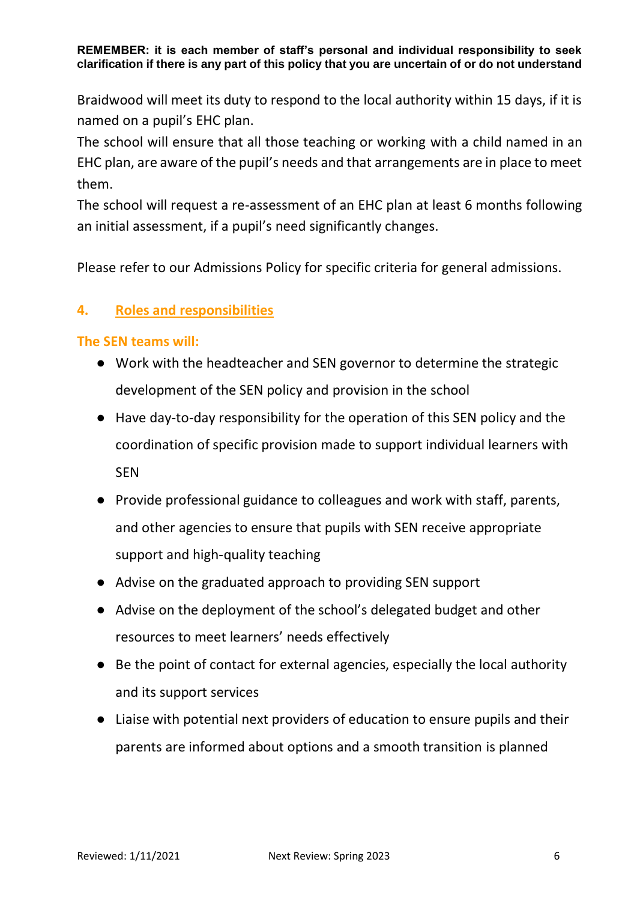Braidwood will meet its duty to respond to the local authority within 15 days, if it is named on a pupil's EHC plan.

The school will ensure that all those teaching or working with a child named in an EHC plan, are aware of the pupil's needs and that arrangements are in place to meet them.

The school will request a re-assessment of an EHC plan at least 6 months following an initial assessment, if a pupil's need significantly changes.

Please refer to our Admissions Policy for specific criteria for general admissions.

## **4. Roles and responsibilities**

### **The SEN teams will:**

- Work with the headteacher and SEN governor to determine the strategic development of the SEN policy and provision in the school
- Have day-to-day responsibility for the operation of this SEN policy and the coordination of specific provision made to support individual learners with SEN
- Provide professional guidance to colleagues and work with staff, parents, and other agencies to ensure that pupils with SEN receive appropriate support and high-quality teaching
- Advise on the graduated approach to providing SEN support
- Advise on the deployment of the school's delegated budget and other resources to meet learners' needs effectively
- Be the point of contact for external agencies, especially the local authority and its support services
- Liaise with potential next providers of education to ensure pupils and their parents are informed about options and a smooth transition is planned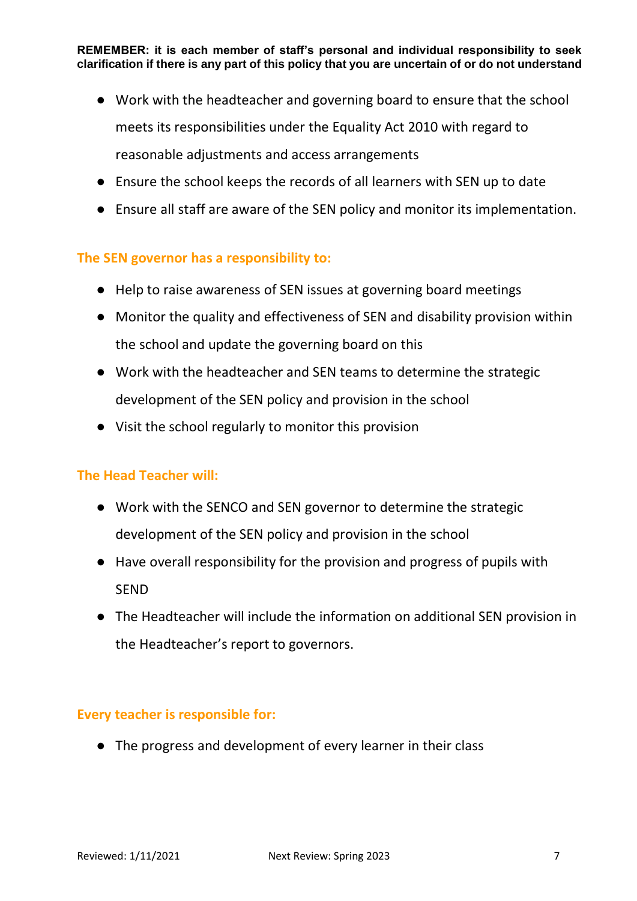- Work with the headteacher and governing board to ensure that the school meets its responsibilities under the Equality Act 2010 with regard to reasonable adjustments and access arrangements
- Ensure the school keeps the records of all learners with SEN up to date
- Ensure all staff are aware of the SEN policy and monitor its implementation.

## **The SEN governor has a responsibility to:**

- Help to raise awareness of SEN issues at governing board meetings
- Monitor the quality and effectiveness of SEN and disability provision within the school and update the governing board on this
- Work with the headteacher and SEN teams to determine the strategic development of the SEN policy and provision in the school
- Visit the school regularly to monitor this provision

### **The Head Teacher will:**

- Work with the SENCO and SEN governor to determine the strategic development of the SEN policy and provision in the school
- Have overall responsibility for the provision and progress of pupils with **SEND**
- The Headteacher will include the information on additional SEN provision in the Headteacher's report to governors.

### **Every teacher is responsible for:**

● The progress and development of every learner in their class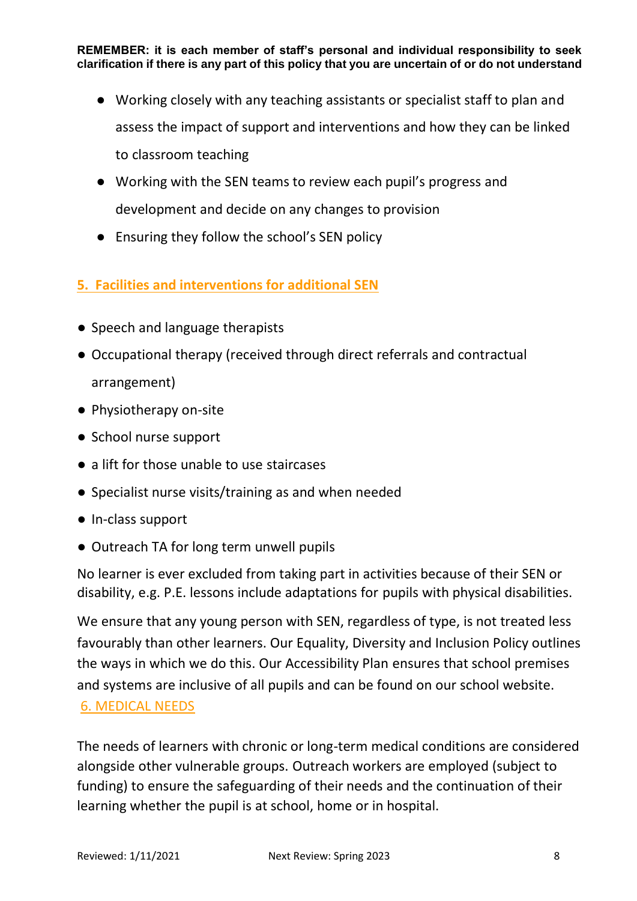- Working closely with any teaching assistants or specialist staff to plan and assess the impact of support and interventions and how they can be linked to classroom teaching
- Working with the SEN teams to review each pupil's progress and development and decide on any changes to provision
- Ensuring they follow the school's SEN policy

# **5. Facilities and interventions for additional SEN**

- Speech and language therapists
- Occupational therapy (received through direct referrals and contractual arrangement)
- Physiotherapy on-site
- School nurse support
- a lift for those unable to use staircases
- Specialist nurse visits/training as and when needed
- In-class support
- Outreach TA for long term unwell pupils

No learner is ever excluded from taking part in activities because of their SEN or disability, e.g. P.E. lessons include adaptations for pupils with physical disabilities.

We ensure that any young person with SEN, regardless of type, is not treated less favourably than other learners. Our Equality, Diversity and Inclusion Policy outlines the ways in which we do this. Our Accessibility Plan ensures that school premises and systems are inclusive of all pupils and can be found on our school website. 6. MEDICAL NEEDS

The needs of learners with chronic or long-term medical conditions are considered alongside other vulnerable groups. Outreach workers are employed (subject to funding) to ensure the safeguarding of their needs and the continuation of their learning whether the pupil is at school, home or in hospital.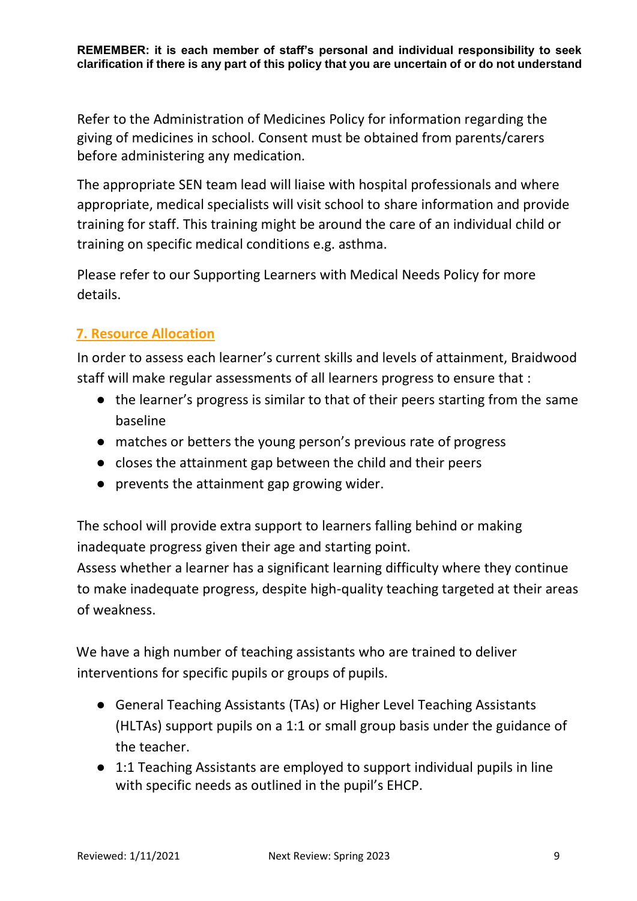Refer to the Administration of Medicines Policy for information regarding the giving of medicines in school. Consent must be obtained from parents/carers before administering any medication.

The appropriate SEN team lead will liaise with hospital professionals and where appropriate, medical specialists will visit school to share information and provide training for staff. This training might be around the care of an individual child or training on specific medical conditions e.g. asthma.

Please refer to our Supporting Learners with Medical Needs Policy for more details.

# **7. Resource Allocation**

In order to assess each learner's current skills and levels of attainment, Braidwood staff will make regular assessments of all learners progress to ensure that :

- the learner's progress is similar to that of their peers starting from the same baseline
- matches or betters the young person's previous rate of progress
- closes the attainment gap between the child and their peers
- prevents the attainment gap growing wider.

The school will provide extra support to learners falling behind or making inadequate progress given their age and starting point.

Assess whether a learner has a significant learning difficulty where they continue to make inadequate progress, despite high-quality teaching targeted at their areas of weakness.

We have a high number of teaching assistants who are trained to deliver interventions for specific pupils or groups of pupils.

- General Teaching Assistants (TAs) or Higher Level Teaching Assistants (HLTAs) support pupils on a 1:1 or small group basis under the guidance of the teacher.
- 1:1 Teaching Assistants are employed to support individual pupils in line with specific needs as outlined in the pupil's EHCP.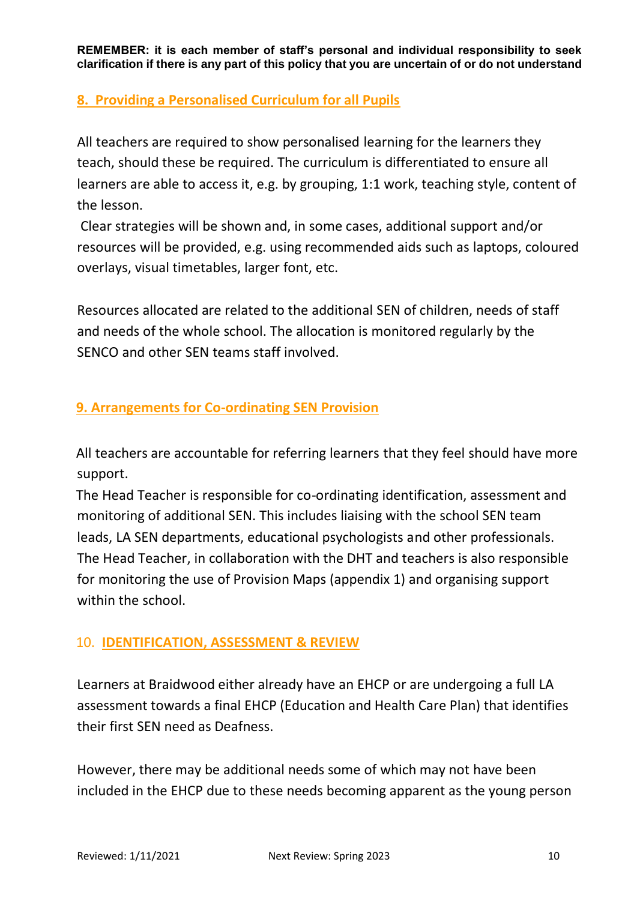## **8. Providing a Personalised Curriculum for all Pupils**

All teachers are required to show personalised learning for the learners they teach, should these be required. The curriculum is differentiated to ensure all learners are able to access it, e.g. by grouping, 1:1 work, teaching style, content of the lesson.

Clear strategies will be shown and, in some cases, additional support and/or resources will be provided, e.g. using recommended aids such as laptops, coloured overlays, visual timetables, larger font, etc.

Resources allocated are related to the additional SEN of children, needs of staff and needs of the whole school. The allocation is monitored regularly by the SENCO and other SEN teams staff involved.

# **9. Arrangements for Co-ordinating SEN Provision**

All teachers are accountable for referring learners that they feel should have more support.

The Head Teacher is responsible for co-ordinating identification, assessment and monitoring of additional SEN. This includes liaising with the school SEN team leads, LA SEN departments, educational psychologists and other professionals. The Head Teacher, in collaboration with the DHT and teachers is also responsible for monitoring the use of Provision Maps (appendix 1) and organising support within the school.

# 10. **IDENTIFICATION, ASSESSMENT & REVIEW**

Learners at Braidwood either already have an EHCP or are undergoing a full LA assessment towards a final EHCP (Education and Health Care Plan) that identifies their first SEN need as Deafness.

However, there may be additional needs some of which may not have been included in the EHCP due to these needs becoming apparent as the young person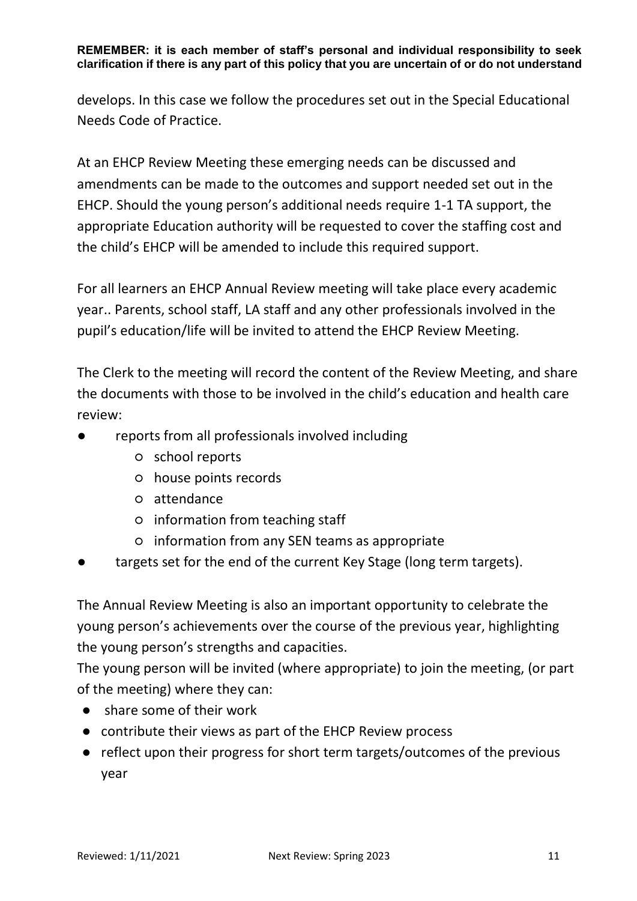develops. In this case we follow the procedures set out in the Special Educational Needs Code of Practice.

At an EHCP Review Meeting these emerging needs can be discussed and amendments can be made to the outcomes and support needed set out in the EHCP. Should the young person's additional needs require 1-1 TA support, the appropriate Education authority will be requested to cover the staffing cost and the child's EHCP will be amended to include this required support.

For all learners an EHCP Annual Review meeting will take place every academic year.. Parents, school staff, LA staff and any other professionals involved in the pupil's education/life will be invited to attend the EHCP Review Meeting.

The Clerk to the meeting will record the content of the Review Meeting, and share the documents with those to be involved in the child's education and health care review:

- reports from all professionals involved including
	- school reports
	- house points records
	- attendance
	- information from teaching staff
	- information from any SEN teams as appropriate
- targets set for the end of the current Key Stage (long term targets).

The Annual Review Meeting is also an important opportunity to celebrate the young person's achievements over the course of the previous year, highlighting the young person's strengths and capacities.

The young person will be invited (where appropriate) to join the meeting, (or part of the meeting) where they can:

- share some of their work
- contribute their views as part of the EHCP Review process
- reflect upon their progress for short term targets/outcomes of the previous year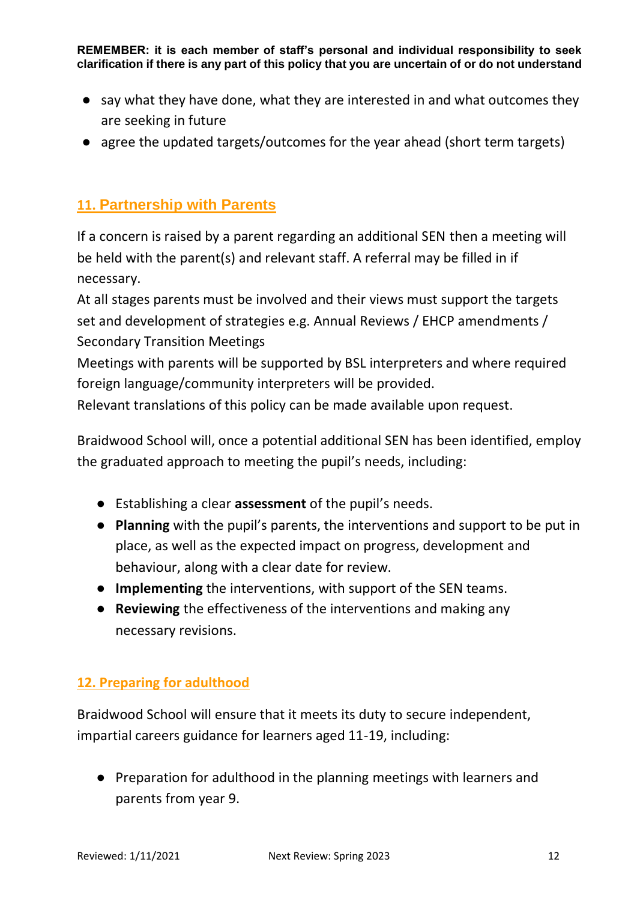- say what they have done, what they are interested in and what outcomes they are seeking in future
- agree the updated targets/outcomes for the year ahead (short term targets)

# **11. Partnership with Parents**

If a concern is raised by a parent regarding an additional SEN then a meeting will be held with the parent(s) and relevant staff. A referral may be filled in if necessary.

At all stages parents must be involved and their views must support the targets set and development of strategies e.g. Annual Reviews / EHCP amendments / Secondary Transition Meetings

Meetings with parents will be supported by BSL interpreters and where required foreign language/community interpreters will be provided.

Relevant translations of this policy can be made available upon request.

Braidwood School will, once a potential additional SEN has been identified, employ the graduated approach to meeting the pupil's needs, including:

- Establishing a clear **assessment** of the pupil's needs.
- **Planning** with the pupil's parents, the interventions and support to be put in place, as well as the expected impact on progress, development and behaviour, along with a clear date for review.
- **Implementing** the interventions, with support of the SEN teams.
- **Reviewing** the effectiveness of the interventions and making any necessary revisions.

# **12. Preparing for adulthood**

Braidwood School will ensure that it meets its duty to secure independent, impartial careers guidance for learners aged 11-19, including:

● Preparation for adulthood in the planning meetings with learners and parents from year 9.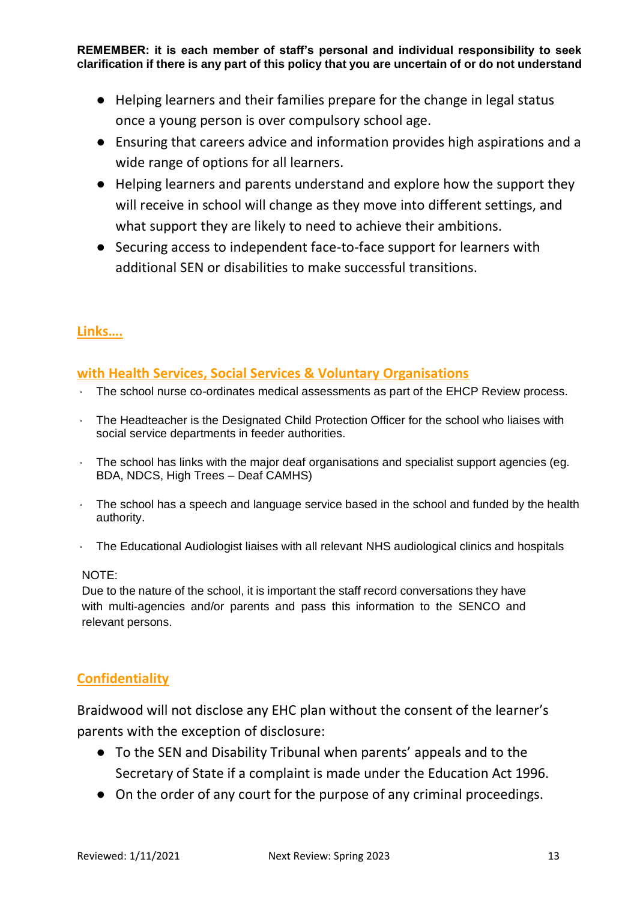- Helping learners and their families prepare for the change in legal status once a young person is over compulsory school age.
- Ensuring that careers advice and information provides high aspirations and a wide range of options for all learners.
- Helping learners and parents understand and explore how the support they will receive in school will change as they move into different settings, and what support they are likely to need to achieve their ambitions.
- Securing access to independent face-to-face support for learners with additional SEN or disabilities to make successful transitions.

## **Links….**

### **with Health Services, Social Services & Voluntary Organisations**

- · The school nurse co-ordinates medical assessments as part of the EHCP Review process.
- · The Headteacher is the Designated Child Protection Officer for the school who liaises with social service departments in feeder authorities.
- · The school has links with the major deaf organisations and specialist support agencies (eg. BDA, NDCS, High Trees – Deaf CAMHS)
- · The school has a speech and language service based in the school and funded by the health authority.
- · The Educational Audiologist liaises with all relevant NHS audiological clinics and hospitals

#### NOTE:

Due to the nature of the school, it is important the staff record conversations they have with multi-agencies and/or parents and pass this information to the SENCO and relevant persons.

## **Confidentiality**

Braidwood will not disclose any EHC plan without the consent of the learner's parents with the exception of disclosure:

- To the SEN and Disability Tribunal when parents' appeals and to the Secretary of State if a complaint is made under the Education Act 1996.
- On the order of any court for the purpose of any criminal proceedings.